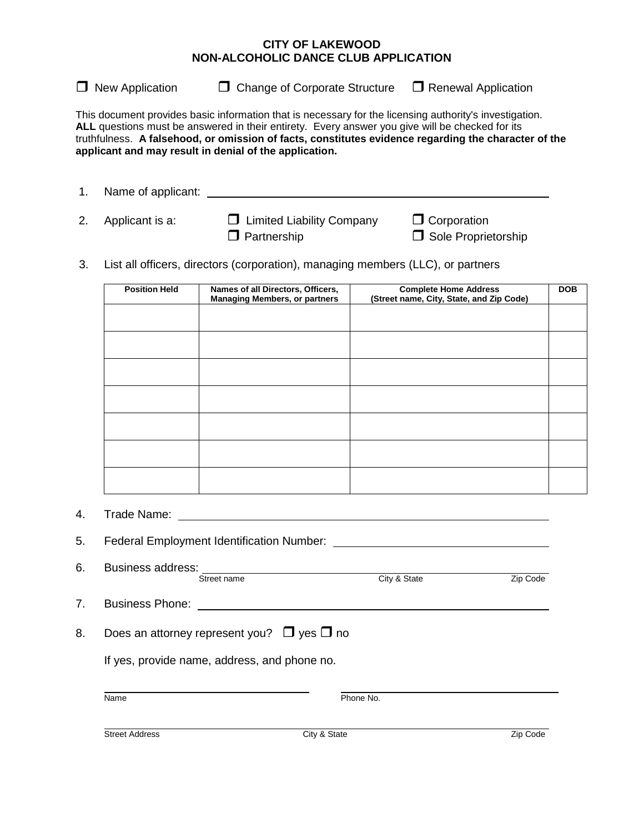## **CITY OF LAKEWOOD NON-ALCOHOLIC DANCE CLUB APPLICATION**

 $\Box$  New Application  $\Box$  Change of Corporate Structure  $\Box$  Renewal Application

This document provides basic information that is necessary for the licensing authority's investigation. **ALL** questions must be answered in their entirety. Every answer you give will be checked for its truthfulness. **A falsehood, or omission of facts, constitutes evidence regarding the character of the applicant and may result in denial of the application.**

| Name of applicant: |                                    |                     |  |
|--------------------|------------------------------------|---------------------|--|
| 2. Applicant is a: | <b>U</b> Limited Liability Company | $\Box$ Corporation  |  |
|                    | $\Box$ Partnership                 | Sole Proprietorship |  |

3. List all officers, directors (corporation), managing members (LLC), or partners

| <b>Position Held</b> | Names of all Directors, Officers,<br><b>Managing Members, or partners</b> | <b>Complete Home Address</b><br>(Street name, City, State, and Zip Code) | <b>DOB</b> |
|----------------------|---------------------------------------------------------------------------|--------------------------------------------------------------------------|------------|
|                      |                                                                           |                                                                          |            |
|                      |                                                                           |                                                                          |            |
|                      |                                                                           |                                                                          |            |
|                      |                                                                           |                                                                          |            |
|                      |                                                                           |                                                                          |            |
|                      |                                                                           |                                                                          |            |
|                      |                                                                           |                                                                          |            |

4. Trade Name:

| 5. | <b>Federal Employment Identification Number:</b>     |                                                                |          |  |
|----|------------------------------------------------------|----------------------------------------------------------------|----------|--|
| 6. | Business address:<br>Street name                     | <u> 1989 - Andrea State Barbara, politik e</u><br>City & State | Zip Code |  |
| 7. | <b>Business Phone: Example 2014</b>                  |                                                                |          |  |
| 8. | Does an attorney represent you? $\Box$ yes $\Box$ no |                                                                |          |  |
|    | If yes, provide name, address, and phone no.         |                                                                |          |  |
|    | Name                                                 | Phone No.                                                      |          |  |
|    | <b>Street Address</b>                                | City & State                                                   | Zip Code |  |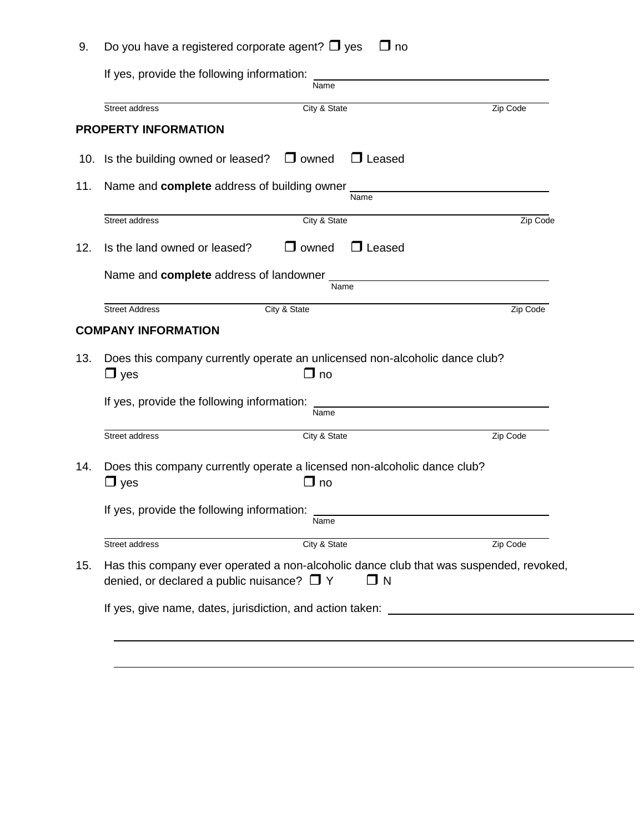|                                                                                        | Name                                                                                               |          |
|----------------------------------------------------------------------------------------|----------------------------------------------------------------------------------------------------|----------|
| Street address                                                                         | City & State                                                                                       | Zip Code |
| <b>PROPERTY INFORMATION</b>                                                            |                                                                                                    |          |
|                                                                                        | 10. Is the building owned or leased? $\Box$ owned<br>$\Box$ Leased                                 |          |
| Name and <b>complete</b> address of building owner ___________________________________ |                                                                                                    |          |
|                                                                                        | Name                                                                                               |          |
| Street address                                                                         | City & State                                                                                       | Zip Code |
| Is the land owned or leased?                                                           | $\Box$ owned<br>$\Box$ Leased                                                                      |          |
|                                                                                        |                                                                                                    |          |
|                                                                                        | Name                                                                                               |          |
|                                                                                        |                                                                                                    |          |
| <b>Street Address</b>                                                                  | City & State                                                                                       | Zip Code |
| <b>COMPANY INFORMATION</b>                                                             |                                                                                                    |          |
| $\Box$ yes<br>If yes, provide the following information:                               | Does this company currently operate an unlicensed non-alcoholic dance club?<br>$\Box$ no<br>Name   |          |
|                                                                                        | City & State                                                                                       | Zip Code |
| Street address<br>$\Box$ yes<br>If yes, provide the following information:             | Does this company currently operate a licensed non-alcoholic dance club?<br>$\Box$ no              |          |
|                                                                                        | Name                                                                                               |          |
| Street address                                                                         | City & State                                                                                       | Zip Code |
| denied, or declared a public nuisance? $\Box$ Y                                        | Has this company ever operated a non-alcoholic dance club that was suspended, revoked,<br>$\Box$ N |          |